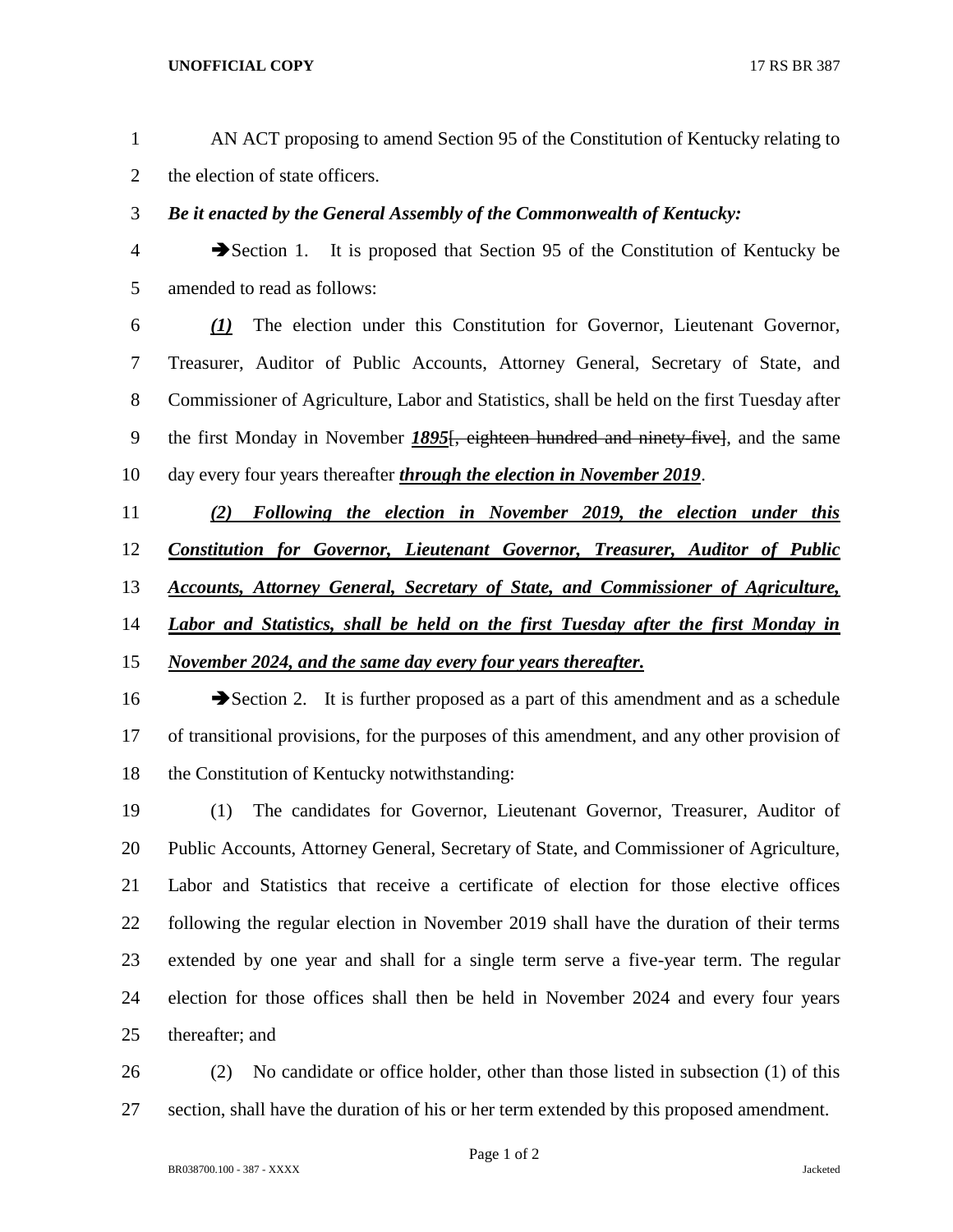- AN ACT proposing to amend Section 95 of the Constitution of Kentucky relating to the election of state officers.
- *Be it enacted by the General Assembly of the Commonwealth of Kentucky:*
- Section 1. It is proposed that Section 95 of the Constitution of Kentucky be amended to read as follows:
- *(1)* The election under this Constitution for Governor, Lieutenant Governor, Treasurer, Auditor of Public Accounts, Attorney General, Secretary of State, and Commissioner of Agriculture, Labor and Statistics, shall be held on the first Tuesday after the first Monday in November *1895*[, eighteen hundred and ninety-five], and the same day every four years thereafter *through the election in November 2019*.
- *(2) Following the election in November 2019, the election under this Constitution for Governor, Lieutenant Governor, Treasurer, Auditor of Public Accounts, Attorney General, Secretary of State, and Commissioner of Agriculture, Labor and Statistics, shall be held on the first Tuesday after the first Monday in November 2024, and the same day every four years thereafter.*
- 16 Section 2. It is further proposed as a part of this amendment and as a schedule of transitional provisions, for the purposes of this amendment, and any other provision of the Constitution of Kentucky notwithstanding:
- (1) The candidates for Governor, Lieutenant Governor, Treasurer, Auditor of Public Accounts, Attorney General, Secretary of State, and Commissioner of Agriculture, Labor and Statistics that receive a certificate of election for those elective offices following the regular election in November 2019 shall have the duration of their terms extended by one year and shall for a single term serve a five-year term. The regular election for those offices shall then be held in November 2024 and every four years thereafter; and
- (2) No candidate or office holder, other than those listed in subsection (1) of this section, shall have the duration of his or her term extended by this proposed amendment.